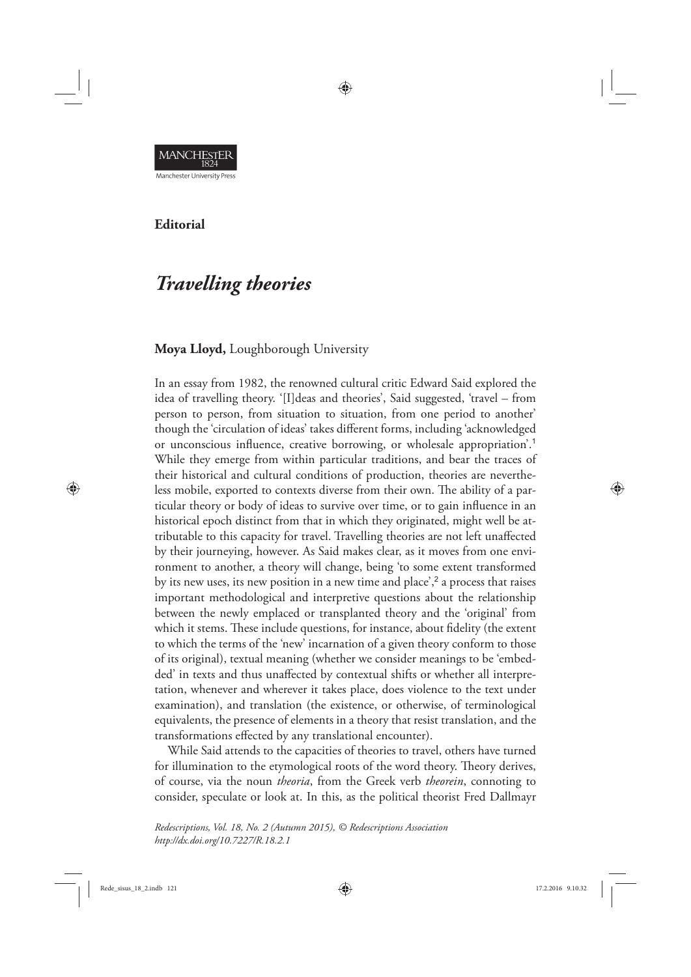

**Editorial** 

# *Travelling theories*

# **Moya Lloyd,** Loughborough University

In an essay from 1982, the renowned cultural critic Edward Said explored the idea of travelling theory. '[I]deas and theories', Said suggested, 'travel – from person to person, from situation to situation, from one period to another' though the 'circulation of ideas' takes different forms, including 'acknowledged or unconscious influence, creative borrowing, or wholesale appropriation'.<sup>1</sup> While they emerge from within particular traditions, and bear the traces of their historical and cultural conditions of production, theories are nevertheless mobile, exported to contexts diverse from their own. The ability of a particular theory or body of ideas to survive over time, or to gain influence in an historical epoch distinct from that in which they originated, might well be attributable to this capacity for travel. Travelling theories are not left unaffected by their journeying, however. As Said makes clear, as it moves from one environment to another, a theory will change, being 'to some extent transformed by its new uses, its new position in a new time and place',<sup>2</sup> a process that raises important methodological and interpretive questions about the relationship between the newly emplaced or transplanted theory and the 'original' from which it stems. These include questions, for instance, about fidelity (the extent to which the terms of the 'new' incarnation of a given theory conform to those of its original), textual meaning (whether we consider meanings to be 'embedded' in texts and thus unaffected by contextual shifts or whether all interpretation, whenever and wherever it takes place, does violence to the text under examination), and translation (the existence, or otherwise, of terminological equivalents, the presence of elements in a theory that resist translation, and the transformations effected by any translational encounter).

♠

While Said attends to the capacities of theories to travel, others have turned for illumination to the etymological roots of the word theory. Theory derives, of course, via the noun *theoria*, from the Greek verb *theorein*, connoting to consider, speculate or look at. In this, as the political theorist Fred Dallmayr

*Redescriptions, Vol. 18, No. 2 (Autumn 2015), © Redescriptions Association http://dx.doi.org/10.7227/R.18.2.1*

⊕

◈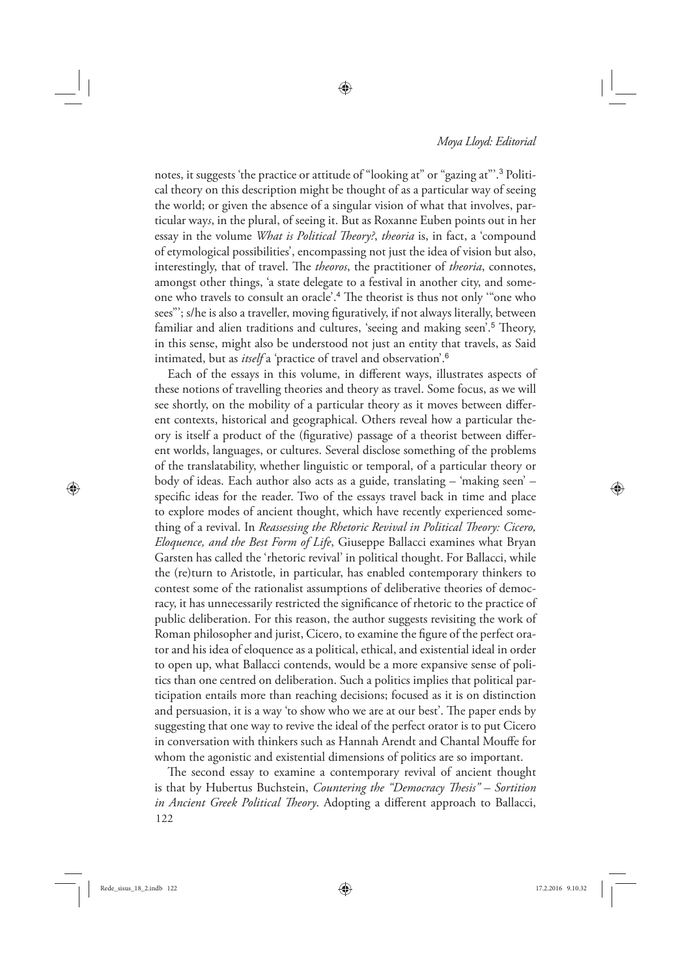#### *Moya Lloyd: Editorial*

notes, it suggests 'the practice or attitude of "looking at" or "gazing at"'.<sup>3</sup> Political theory on this description might be thought of as a particular way of seeing the world; or given the absence of a singular vision of what that involves, particular way*s*, in the plural, of seeing it. But as Roxanne Euben points out in her essay in the volume *What is Political Theory?*, *theoria* is, in fact, a 'compound of etymological possibilities', encompassing not just the idea of vision but also, interestingly, that of travel. The *theoros*, the practitioner of *theoria*, connotes, amongst other things, 'a state delegate to a festival in another city, and someone who travels to consult an oracle'.<sup>4</sup> The theorist is thus not only "one who sees"'; s/he is also a traveller, moving figuratively, if not always literally, between familiar and alien traditions and cultures, 'seeing and making seen'.<sup>5</sup> Theory, in this sense, might also be understood not just an entity that travels, as Said intimated, but as *itself* a 'practice of travel and observation'.<sup>6</sup>

♠

Each of the essays in this volume, in different ways, illustrates aspects of these notions of travelling theories and theory as travel. Some focus, as we will see shortly, on the mobility of a particular theory as it moves between different contexts, historical and geographical. Others reveal how a particular theory is itself a product of the (figurative) passage of a theorist between different worlds, languages, or cultures. Several disclose something of the problems of the translatability, whether linguistic or temporal, of a particular theory or body of ideas. Each author also acts as a guide, translating – 'making seen' – specific ideas for the reader. Two of the essays travel back in time and place to explore modes of ancient thought, which have recently experienced something of a revival. In *Reassessing the Rhetoric Revival in Political Theory: Cicero, Eloquence, and the Best Form of Life*, Giuseppe Ballacci examines what Bryan Garsten has called the 'rhetoric revival' in political thought. For Ballacci, while the (re)turn to Aristotle, in particular, has enabled contemporary thinkers to contest some of the rationalist assumptions of deliberative theories of democracy, it has unnecessarily restricted the significance of rhetoric to the practice of public deliberation. For this reason, the author suggests revisiting the work of Roman philosopher and jurist, Cicero, to examine the figure of the perfect orator and his idea of eloquence as a political, ethical, and existential ideal in order to open up, what Ballacci contends, would be a more expansive sense of politics than one centred on deliberation. Such a politics implies that political participation entails more than reaching decisions; focused as it is on distinction and persuasion, it is a way 'to show who we are at our best'. The paper ends by suggesting that one way to revive the ideal of the perfect orator is to put Cicero in conversation with thinkers such as Hannah Arendt and Chantal Mouffe for whom the agonistic and existential dimensions of politics are so important.

122 The second essay to examine a contemporary revival of ancient thought is that by Hubertus Buchstein, *Countering the "Democracy Thesis"* – Sortition *in Ancient Greek Political Theory*. Adopting a different approach to Ballacci,

 $Red\_s isus_18_2.1ndb_122$  ede\_sisus\_18\_2.indb 122 17.2.2016 9.10.32

⊕

⊕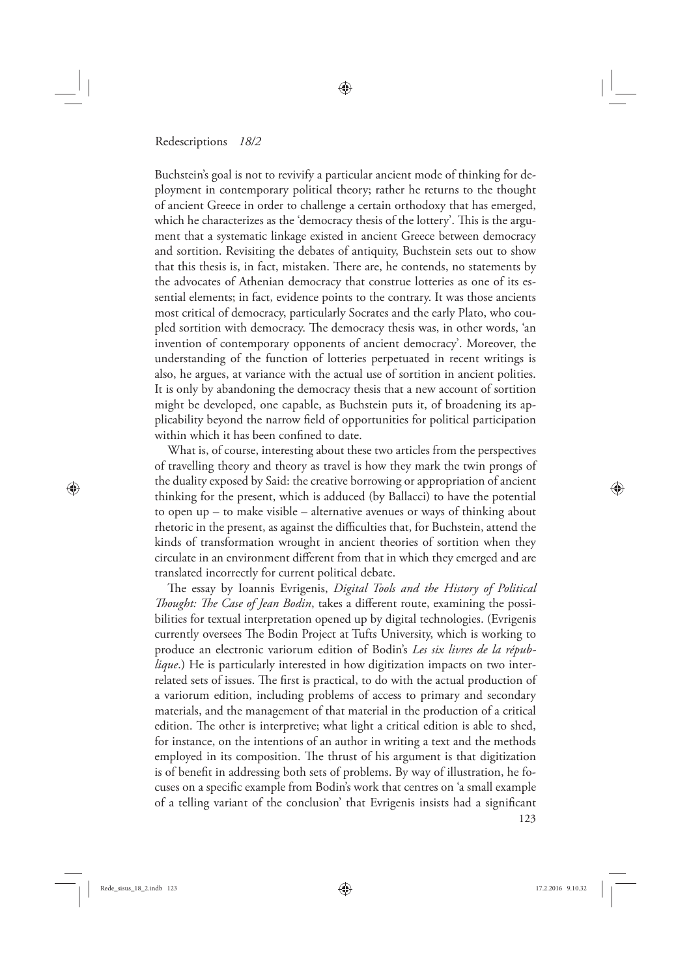#### Redescriptions *18/2*

Buchstein's goal is not to revivify a particular ancient mode of thinking for deployment in contemporary political theory; rather he returns to the thought of ancient Greece in order to challenge a certain orthodoxy that has emerged, which he characterizes as the 'democracy thesis of the lottery'. This is the argument that a systematic linkage existed in ancient Greece between democracy and sortition. Revisiting the debates of antiquity, Buchstein sets out to show that this thesis is, in fact, mistaken. There are, he contends, no statements by the advocates of Athenian democracy that construe lotteries as one of its essential elements; in fact, evidence points to the contrary. It was those ancients most critical of democracy, particularly Socrates and the early Plato, who coupled sortition with democracy. The democracy thesis was, in other words, 'an invention of contemporary opponents of ancient democracy'. Moreover, the understanding of the function of lotteries perpetuated in recent writings is also, he argues, at variance with the actual use of sortition in ancient polities. It is only by abandoning the democracy thesis that a new account of sortition might be developed, one capable, as Buchstein puts it, of broadening its applicability beyond the narrow field of opportunities for political participation within which it has been confined to date.

◈

What is, of course, interesting about these two articles from the perspectives of travelling theory and theory as travel is how they mark the twin prongs of the duality exposed by Said: the creative borrowing or appropriation of ancient thinking for the present, which is adduced (by Ballacci) to have the potential to open up – to make visible – alternative avenues or ways of thinking about rhetoric in the present, as against the difficulties that, for Buchstein, attend the kinds of transformation wrought in ancient theories of sortition when they circulate in an environment different from that in which they emerged and are translated incorrectly for current political debate.

123 The essay by Ioannis Evrigenis, *Digital Tools and the History of Political Thought: The Case of Jean Bodin*, takes a different route, examining the possibilities for textual interpretation opened up by digital technologies. (Evrigenis currently oversees The Bodin Project at Tufts University, which is working to produce an electronic variorum edition of Bodin's *Les six livres de la république*.) He is particularly interested in how digitization impacts on two interrelated sets of issues. The first is practical, to do with the actual production of a variorum edition, including problems of access to primary and secondary materials, and the management of that material in the production of a critical edition. The other is interpretive; what light a critical edition is able to shed, for instance, on the intentions of an author in writing a text and the methods employed in its composition. The thrust of his argument is that digitization is of benefit in addressing both sets of problems. By way of illustration, he focuses on a specific example from Bodin's work that centres on 'a small example of a telling variant of the conclusion' that Evrigenis insists had a significant

Rede\_sisus\_18\_2.indb 123 **a**  $17.2.2016$  9.10.32

⊕

◈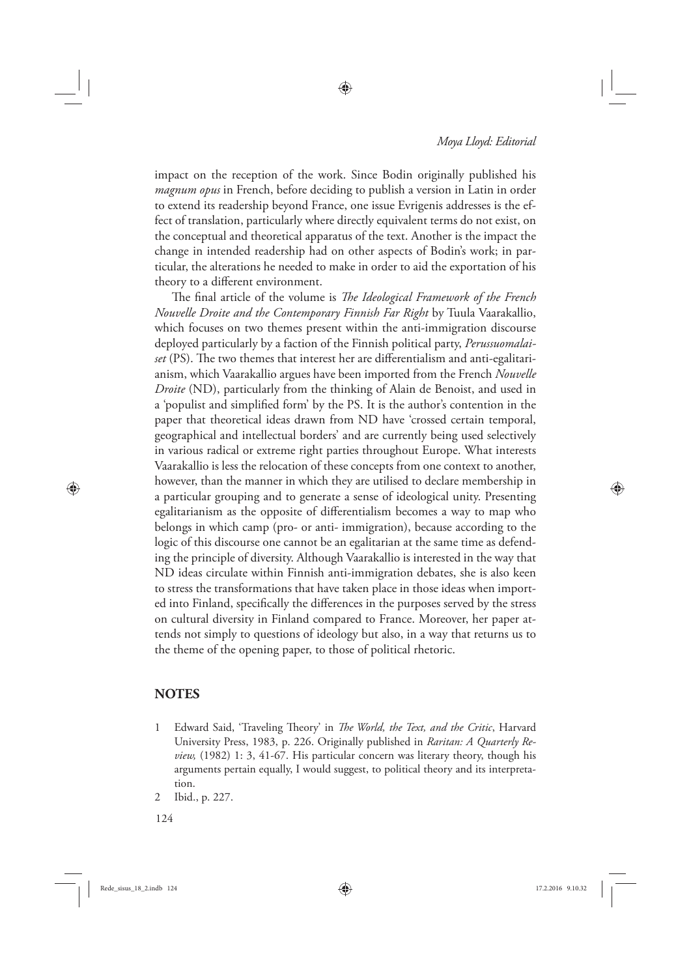#### *Moya Lloyd: Editorial*

impact on the reception of the work. Since Bodin originally published his *magnum opus* in French, before deciding to publish a version in Latin in order to extend its readership beyond France, one issue Evrigenis addresses is the effect of translation, particularly where directly equivalent terms do not exist, on the conceptual and theoretical apparatus of the text. Another is the impact the change in intended readership had on other aspects of Bodin's work; in particular, the alterations he needed to make in order to aid the exportation of his theory to a different environment.

⊕

The final article of the volume is *The Ideological Framework of the French Nouvelle Droite and the Contemporary Finnish Far Right* by Tuula Vaarakallio, which focuses on two themes present within the anti-immigration discourse deployed particularly by a faction of the Finnish political party, *Perussuomalaiset* (PS). The two themes that interest her are differentialism and anti-egalitarianism, which Vaarakallio argues have been imported from the French *Nouvelle Droite* (ND), particularly from the thinking of Alain de Benoist, and used in a 'populist and simplified form' by the PS. It is the author's contention in the paper that theoretical ideas drawn from ND have 'crossed certain temporal, geographical and intellectual borders' and are currently being used selectively in various radical or extreme right parties throughout Europe. What interests Vaarakallio is less the relocation of these concepts from one context to another, however, than the manner in which they are utilised to declare membership in a particular grouping and to generate a sense of ideological unity. Presenting egalitarianism as the opposite of differentialism becomes a way to map who belongs in which camp (pro- or anti- immigration), because according to the logic of this discourse one cannot be an egalitarian at the same time as defending the principle of diversity. Although Vaarakallio is interested in the way that ND ideas circulate within Finnish anti-immigration debates, she is also keen to stress the transformations that have taken place in those ideas when imported into Finland, specifically the differences in the purposes served by the stress on cultural diversity in Finland compared to France. Moreover, her paper attends not simply to questions of ideology but also, in a way that returns us to the theme of the opening paper, to those of political rhetoric.

## **NOTES**

⊕

- 1 Edward Said, 'Traveling Theory' in *The World, the Text, and the Critic*, Harvard University Press, 1983, p. 226. Originally published in *Raritan: A Quarterly Review,* (1982) 1: 3, 41-67. His particular concern was literary theory, though his arguments pertain equally, I would suggest, to political theory and its interpretation.
- 2 Ibid., p. 227.

124

Rede\_sisus\_18\_2.indb 124 17.2.2016 9.10.32

◈